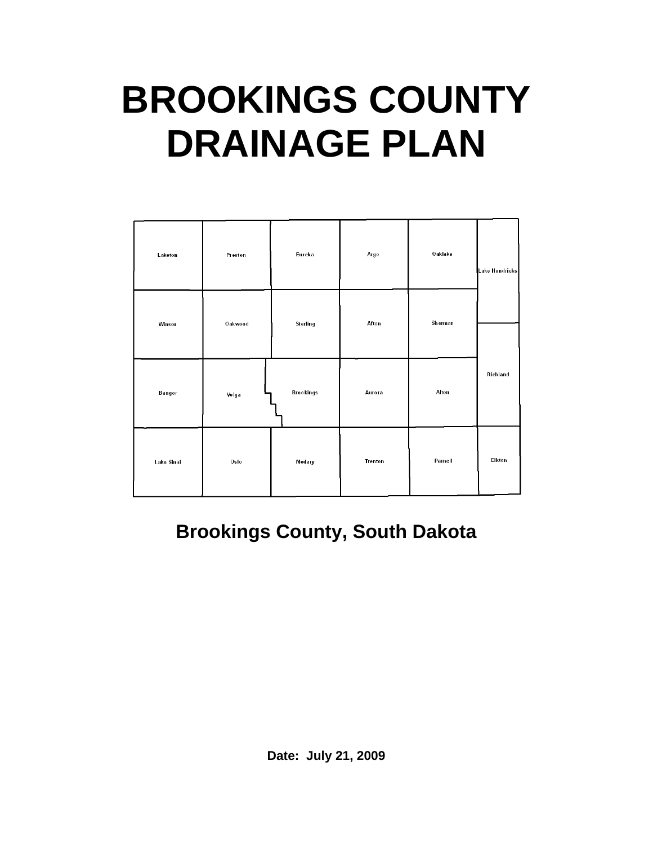# **BROOKINGS COUNTY DRAINAGE PLAN**

| Laketon    | Preston | Eureka    | Argo    | Oaklake | Lake Hendricks |
|------------|---------|-----------|---------|---------|----------------|
| Winsor     | Oakwood | Sterling  | Afton   | Sherman |                |
| Bangor     | Volga   | Brookings | Aurora  | Alton   | Richland       |
| Lake Sinai | Oslo    | Medary    | Trenton | Parnell | Elkton         |

# **Brookings County, South Dakota**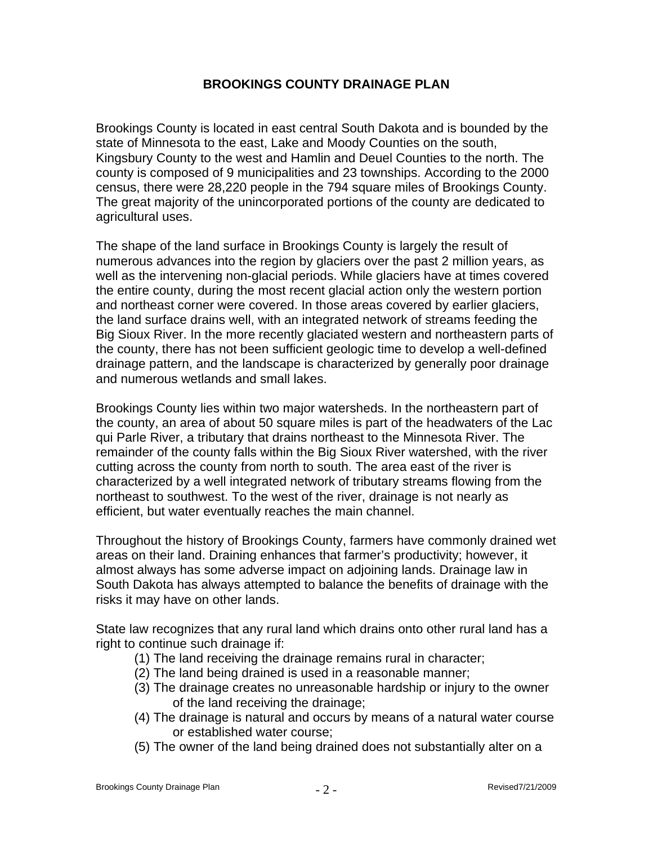# **BROOKINGS COUNTY DRAINAGE PLAN**

Brookings County is located in east central South Dakota and is bounded by the state of Minnesota to the east, Lake and Moody Counties on the south, Kingsbury County to the west and Hamlin and Deuel Counties to the north. The county is composed of 9 municipalities and 23 townships. According to the 2000 census, there were 28,220 people in the 794 square miles of Brookings County. The great majority of the unincorporated portions of the county are dedicated to agricultural uses.

The shape of the land surface in Brookings County is largely the result of numerous advances into the region by glaciers over the past 2 million years, as well as the intervening non-glacial periods. While glaciers have at times covered the entire county, during the most recent glacial action only the western portion and northeast corner were covered. In those areas covered by earlier glaciers, the land surface drains well, with an integrated network of streams feeding the Big Sioux River. In the more recently glaciated western and northeastern parts of the county, there has not been sufficient geologic time to develop a well-defined drainage pattern, and the landscape is characterized by generally poor drainage and numerous wetlands and small lakes.

Brookings County lies within two major watersheds. In the northeastern part of the county, an area of about 50 square miles is part of the headwaters of the Lac qui Parle River, a tributary that drains northeast to the Minnesota River. The remainder of the county falls within the Big Sioux River watershed, with the river cutting across the county from north to south. The area east of the river is characterized by a well integrated network of tributary streams flowing from the northeast to southwest. To the west of the river, drainage is not nearly as efficient, but water eventually reaches the main channel.

Throughout the history of Brookings County, farmers have commonly drained wet areas on their land. Draining enhances that farmer's productivity; however, it almost always has some adverse impact on adjoining lands. Drainage law in South Dakota has always attempted to balance the benefits of drainage with the risks it may have on other lands.

State law recognizes that any rural land which drains onto other rural land has a right to continue such drainage if:

- (1) The land receiving the drainage remains rural in character;
- (2) The land being drained is used in a reasonable manner;
- (3) The drainage creates no unreasonable hardship or injury to the owner of the land receiving the drainage;
- (4) The drainage is natural and occurs by means of a natural water course or established water course;
- (5) The owner of the land being drained does not substantially alter on a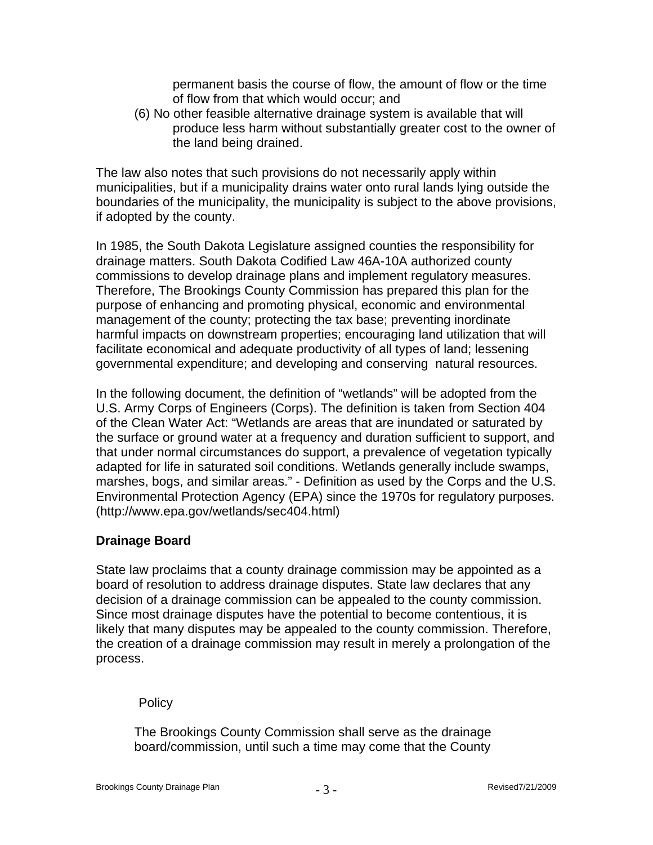permanent basis the course of flow, the amount of flow or the time of flow from that which would occur; and

(6) No other feasible alternative drainage system is available that will produce less harm without substantially greater cost to the owner of the land being drained.

The law also notes that such provisions do not necessarily apply within municipalities, but if a municipality drains water onto rural lands lying outside the boundaries of the municipality, the municipality is subject to the above provisions, if adopted by the county.

In 1985, the South Dakota Legislature assigned counties the responsibility for drainage matters. South Dakota Codified Law 46A-10A authorized county commissions to develop drainage plans and implement regulatory measures. Therefore, The Brookings County Commission has prepared this plan for the purpose of enhancing and promoting physical, economic and environmental management of the county; protecting the tax base; preventing inordinate harmful impacts on downstream properties; encouraging land utilization that will facilitate economical and adequate productivity of all types of land; lessening governmental expenditure; and developing and conserving natural resources.

In the following document, the definition of "wetlands" will be adopted from the U.S. Army Corps of Engineers (Corps). The definition is taken from Section 404 of the Clean Water Act: "Wetlands are areas that are inundated or saturated by the surface or ground water at a frequency and duration sufficient to support, and that under normal circumstances do support, a prevalence of vegetation typically adapted for life in saturated soil conditions. Wetlands generally include swamps, marshes, bogs, and similar areas." - Definition as used by the Corps and the U.S. Environmental Protection Agency (EPA) since the 1970s for regulatory purposes. (http://www.epa.gov/wetlands/sec404.html)

# **Drainage Board**

State law proclaims that a county drainage commission may be appointed as a board of resolution to address drainage disputes. State law declares that any decision of a drainage commission can be appealed to the county commission. Since most drainage disputes have the potential to become contentious, it is likely that many disputes may be appealed to the county commission. Therefore, the creation of a drainage commission may result in merely a prolongation of the process.

# **Policy**

The Brookings County Commission shall serve as the drainage board/commission, until such a time may come that the County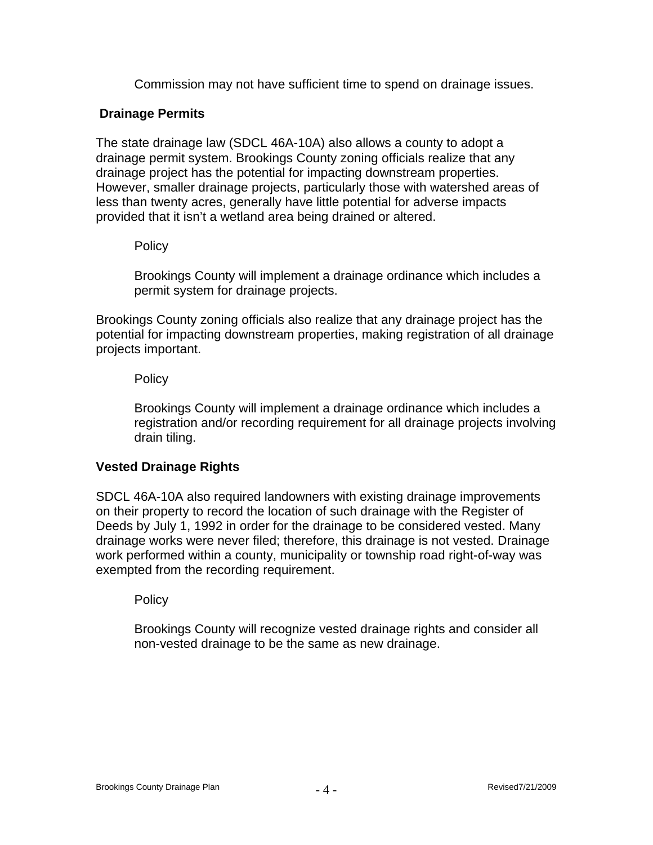Commission may not have sufficient time to spend on drainage issues.

# **Drainage Permits**

The state drainage law (SDCL 46A-10A) also allows a county to adopt a drainage permit system. Brookings County zoning officials realize that any drainage project has the potential for impacting downstream properties. However, smaller drainage projects, particularly those with watershed areas of less than twenty acres, generally have little potential for adverse impacts provided that it isn't a wetland area being drained or altered.

#### **Policy**

Brookings County will implement a drainage ordinance which includes a permit system for drainage projects.

Brookings County zoning officials also realize that any drainage project has the potential for impacting downstream properties, making registration of all drainage projects important.

### **Policy**

Brookings County will implement a drainage ordinance which includes a registration and/or recording requirement for all drainage projects involving drain tiling.

# **Vested Drainage Rights**

SDCL 46A-10A also required landowners with existing drainage improvements on their property to record the location of such drainage with the Register of Deeds by July 1, 1992 in order for the drainage to be considered vested. Many drainage works were never filed; therefore, this drainage is not vested. Drainage work performed within a county, municipality or township road right-of-way was exempted from the recording requirement.

# **Policy**

Brookings County will recognize vested drainage rights and consider all non-vested drainage to be the same as new drainage.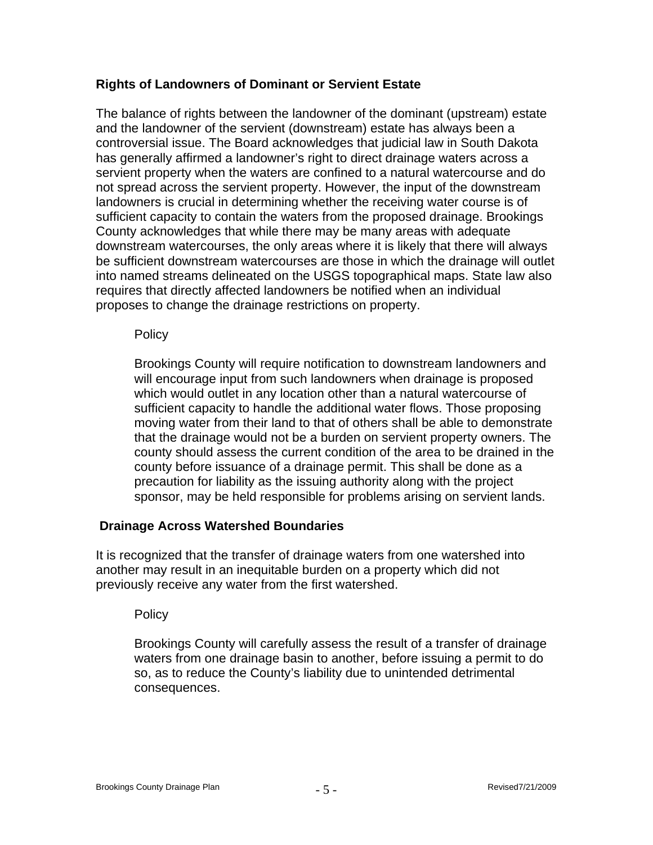# **Rights of Landowners of Dominant or Servient Estate**

The balance of rights between the landowner of the dominant (upstream) estate and the landowner of the servient (downstream) estate has always been a controversial issue. The Board acknowledges that judicial law in South Dakota has generally affirmed a landowner's right to direct drainage waters across a servient property when the waters are confined to a natural watercourse and do not spread across the servient property. However, the input of the downstream landowners is crucial in determining whether the receiving water course is of sufficient capacity to contain the waters from the proposed drainage. Brookings County acknowledges that while there may be many areas with adequate downstream watercourses, the only areas where it is likely that there will always be sufficient downstream watercourses are those in which the drainage will outlet into named streams delineated on the USGS topographical maps. State law also requires that directly affected landowners be notified when an individual proposes to change the drainage restrictions on property.

#### **Policy**

Brookings County will require notification to downstream landowners and will encourage input from such landowners when drainage is proposed which would outlet in any location other than a natural watercourse of sufficient capacity to handle the additional water flows. Those proposing moving water from their land to that of others shall be able to demonstrate that the drainage would not be a burden on servient property owners. The county should assess the current condition of the area to be drained in the county before issuance of a drainage permit. This shall be done as a precaution for liability as the issuing authority along with the project sponsor, may be held responsible for problems arising on servient lands.

#### **Drainage Across Watershed Boundaries**

It is recognized that the transfer of drainage waters from one watershed into another may result in an inequitable burden on a property which did not previously receive any water from the first watershed.

#### Policy

Brookings County will carefully assess the result of a transfer of drainage waters from one drainage basin to another, before issuing a permit to do so, as to reduce the County's liability due to unintended detrimental consequences.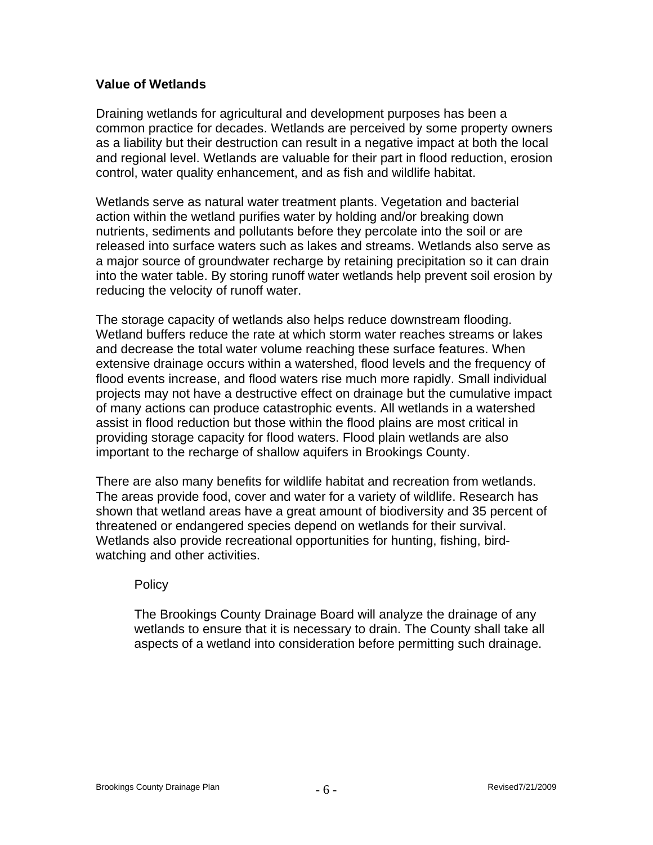#### **Value of Wetlands**

Draining wetlands for agricultural and development purposes has been a common practice for decades. Wetlands are perceived by some property owners as a liability but their destruction can result in a negative impact at both the local and regional level. Wetlands are valuable for their part in flood reduction, erosion control, water quality enhancement, and as fish and wildlife habitat.

Wetlands serve as natural water treatment plants. Vegetation and bacterial action within the wetland purifies water by holding and/or breaking down nutrients, sediments and pollutants before they percolate into the soil or are released into surface waters such as lakes and streams. Wetlands also serve as a major source of groundwater recharge by retaining precipitation so it can drain into the water table. By storing runoff water wetlands help prevent soil erosion by reducing the velocity of runoff water.

The storage capacity of wetlands also helps reduce downstream flooding. Wetland buffers reduce the rate at which storm water reaches streams or lakes and decrease the total water volume reaching these surface features. When extensive drainage occurs within a watershed, flood levels and the frequency of flood events increase, and flood waters rise much more rapidly. Small individual projects may not have a destructive effect on drainage but the cumulative impact of many actions can produce catastrophic events. All wetlands in a watershed assist in flood reduction but those within the flood plains are most critical in providing storage capacity for flood waters. Flood plain wetlands are also important to the recharge of shallow aquifers in Brookings County.

There are also many benefits for wildlife habitat and recreation from wetlands. The areas provide food, cover and water for a variety of wildlife. Research has shown that wetland areas have a great amount of biodiversity and 35 percent of threatened or endangered species depend on wetlands for their survival. Wetlands also provide recreational opportunities for hunting, fishing, birdwatching and other activities.

#### **Policy**

The Brookings County Drainage Board will analyze the drainage of any wetlands to ensure that it is necessary to drain. The County shall take all aspects of a wetland into consideration before permitting such drainage.